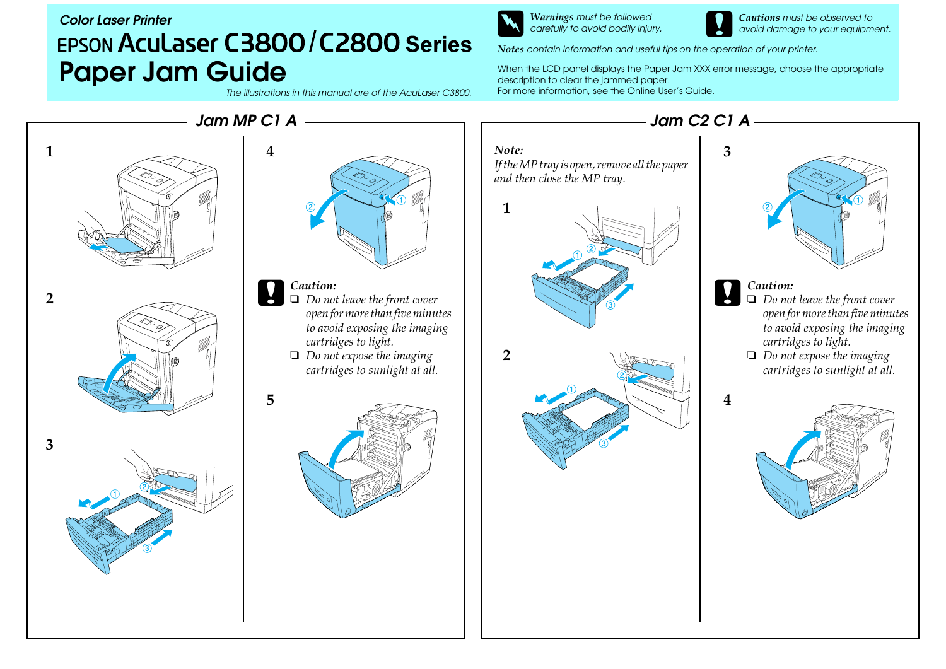## *Color Laser Printer*EPSON Aculaser C3800/C2800 Series **Paper Jam Guide** When the LCD panel displays the Paper Jam XXX error message, choose the appropriate description to clear the jammed paper.

*The illustrations in this manual are of the Aculaser C3800.* 

w*Warnings must be followed carefully to avoid bodily injury.*

c*Cautions must be observed to avoid damage to your equipment.*

*Notes contain information and useful tips on the operation of your printer.*

For more information, see the Online User's Guide.

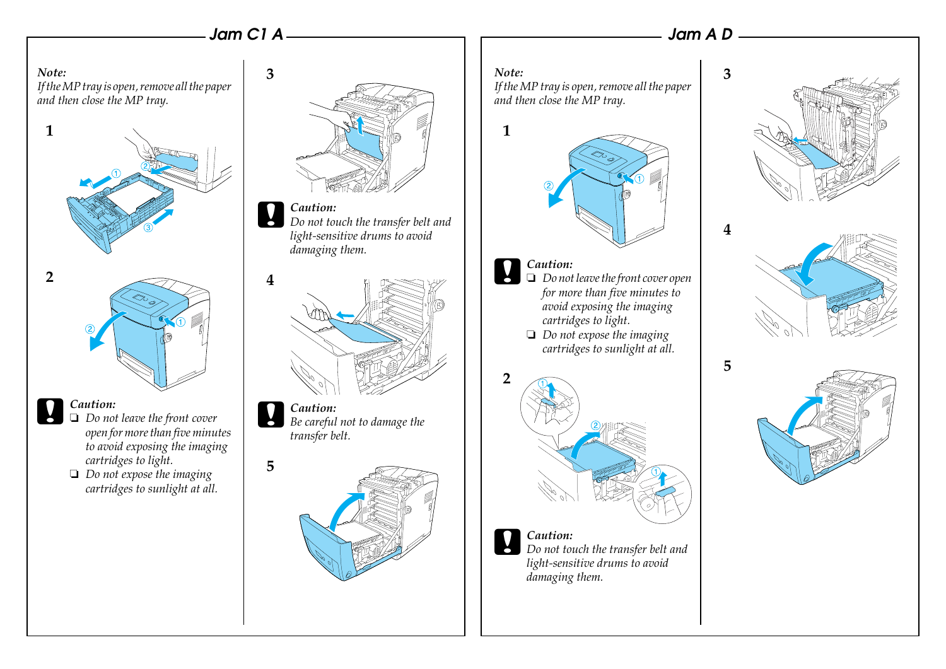## *Jam C1 A*

**3**

**5**

## *Jam A D*

**5**

*Note:If the MP tray is open, remove all the paper and then close the MP tray.*



- c*Caution:* ❏ *Do not leave the front cover open for more than five minutes to avoid exposing the imaging cartridges to light.*
	- ❏ *Do not expose the imaging cartridges to sunlight at all.*



c*Caution: Do not touch the transfer belt and light-sensitive drums to avoid damaging them.*



c*Caution: Be careful not to damage the transfer belt.*



## *Note:*

**1**

*If the MP tray is open, remove all the paper and then close the MP tray.*



- c*Caution:* ❏ *Do not leave the front cover open for more than five minutes to avoid exposing the imaging cartridges to light.*
- ❏ *Do not expose the imaging cartridges to sunlight at all.*



c*Caution: Do not touch the transfer belt and light-sensitive drums to avoid damaging them.*